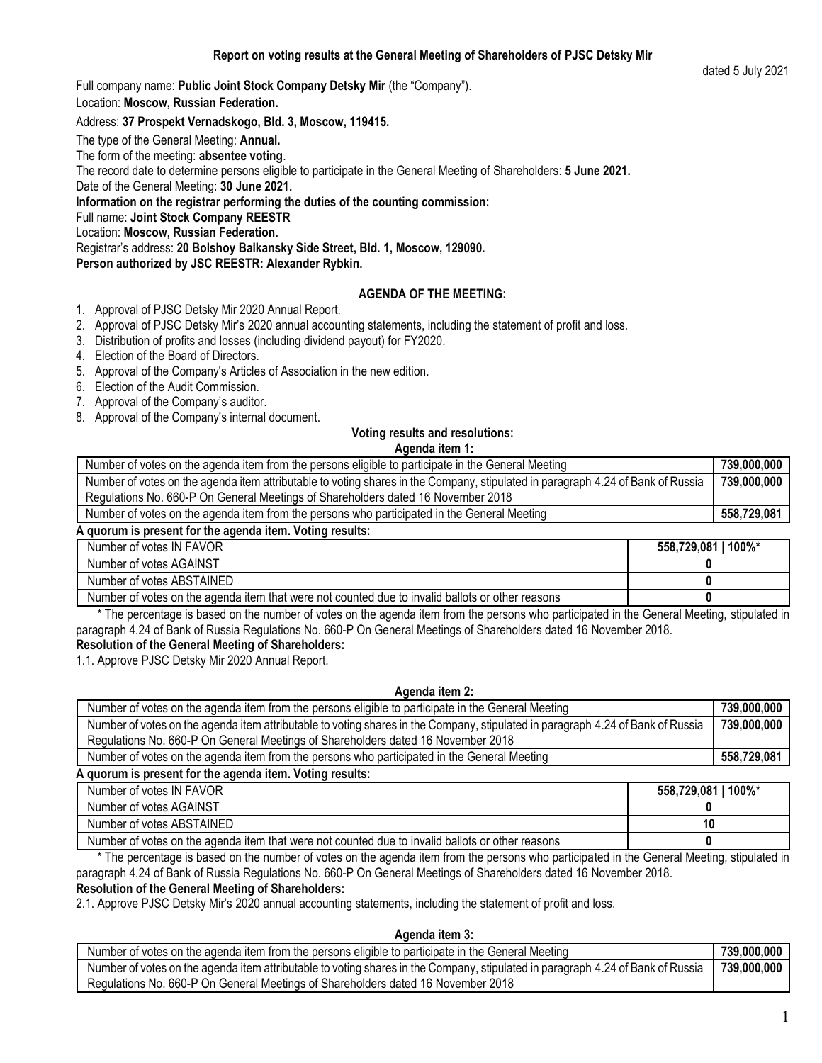Full company name: **Public Joint Stock Company Detsky Mir** (the "Company").

Location: **Moscow, Russian Federation.**

# Address: **37 Prospekt Vernadskogo, Bld. 3, Moscow, 119415.**

The type of the General Meeting: **Annual.**

The form of the meeting: **absentee voting**.

The record date to determine persons eligible to participate in the General Meeting of Shareholders: **5 June 2021.**

Date of the General Meeting: **30 June 2021.**

**Information on the registrar performing the duties of the counting commission:**

Full name: **Joint Stock Company REESTR**

Location: **Moscow, Russian Federation.**

Registrar's address: **20 Bolshoy Balkansky Side Street, Bld. 1, Moscow, 129090.**

**Person authorized by JSC REESTR: Alexander Rybkin.**

# **AGENDA OF THE MEETING:**

- 1. Approval of PJSC Detsky Mir 2020 Annual Report.
- 2. Approval of PJSC Detsky Mir's 2020 annual accounting statements, including the statement of profit and loss.
- 3. Distribution of profits and losses (including dividend payout) for FY2020.
- 4. Election of the Board of Directors.
- 5. Approval of the Company's Articles of Association in the new edition.
- 6. Election of the Audit Commission.
- 7. Approval of the Company's auditor.
- 8. Approval of the Company's internal document.

## **Voting results and resolutions:**

**Agenda item 1:**

| Number of votes on the agenda item from the persons eligible to participate in the General Meeting                              | 739,000,000 |
|---------------------------------------------------------------------------------------------------------------------------------|-------------|
| Number of votes on the agenda item attributable to voting shares in the Company, stipulated in paragraph 4.24 of Bank of Russia | 739,000,000 |
| Regulations No. 660-P On General Meetings of Shareholders dated 16 November 2018                                                |             |
| Number of votes on the agenda item from the persons who participated in the General Meeting                                     | 558,729,081 |
| A quorum is present for the agenda item. Voting results:                                                                        |             |

| Number of votes IN FAVOR                                                                         | 100%*<br>558.729.081 |
|--------------------------------------------------------------------------------------------------|----------------------|
| Number of votes AGAINST                                                                          |                      |
| Number of votes ABSTAINED                                                                        |                      |
| Number of votes on the agenda item that were not counted due to invalid ballots or other reasons |                      |

 \* The percentage is based on the number of votes on the agenda item from the persons who participated in the General Meeting, stipulated in paragraph 4.24 of Bank of Russia Regulations No. 660-P On General Meetings of Shareholders dated 16 November 2018.

# **Resolution of the General Meeting of Shareholders:**

1.1. Approve PJSC Detsky Mir 2020 Annual Report.

## **Agenda item 2:**

| Number of votes on the agenda item from the persons eligible to participate in the General Meeting                              | 739,000,000 |
|---------------------------------------------------------------------------------------------------------------------------------|-------------|
| Number of votes on the agenda item attributable to voting shares in the Company, stipulated in paragraph 4.24 of Bank of Russia | 739,000,000 |
| Regulations No. 660-P On General Meetings of Shareholders dated 16 November 2018                                                |             |
| Number of votes on the agenda item from the persons who participated in the General Meeting                                     | 558,729,081 |
| A quarum in propent for the cannole item Veting requitor                                                                        |             |

**A quorum is present for the agenda item. Voting results:**

| Number of votes IN FAVOR                                                                         | $1100\%$<br>558.729.081 |
|--------------------------------------------------------------------------------------------------|-------------------------|
| Number of votes AGAINST                                                                          |                         |
| Number of votes ABSTAINED                                                                        | 10                      |
| Number of votes on the agenda item that were not counted due to invalid ballots or other reasons |                         |

 \* The percentage is based on the number of votes on the agenda item from the persons who participated in the General Meeting, stipulated in paragraph 4.24 of Bank of Russia Regulations No. 660-P On General Meetings of Shareholders dated 16 November 2018.

## **Resolution of the General Meeting of Shareholders:**

2.1. Approve PJSC Detsky Mir's 2020 annual accounting statements, including the statement of profit and loss.

## **Agenda item 3:**

| Number of votes on the agenda item from the persons eligible to participate in the General Meeting                              | 739.000.000 |
|---------------------------------------------------------------------------------------------------------------------------------|-------------|
| Number of votes on the agenda item attributable to voting shares in the Company, stipulated in paragraph 4.24 of Bank of Russia | 739.000.000 |
| Regulations No. 660-P On General Meetings of Shareholders dated 16 November 2018                                                |             |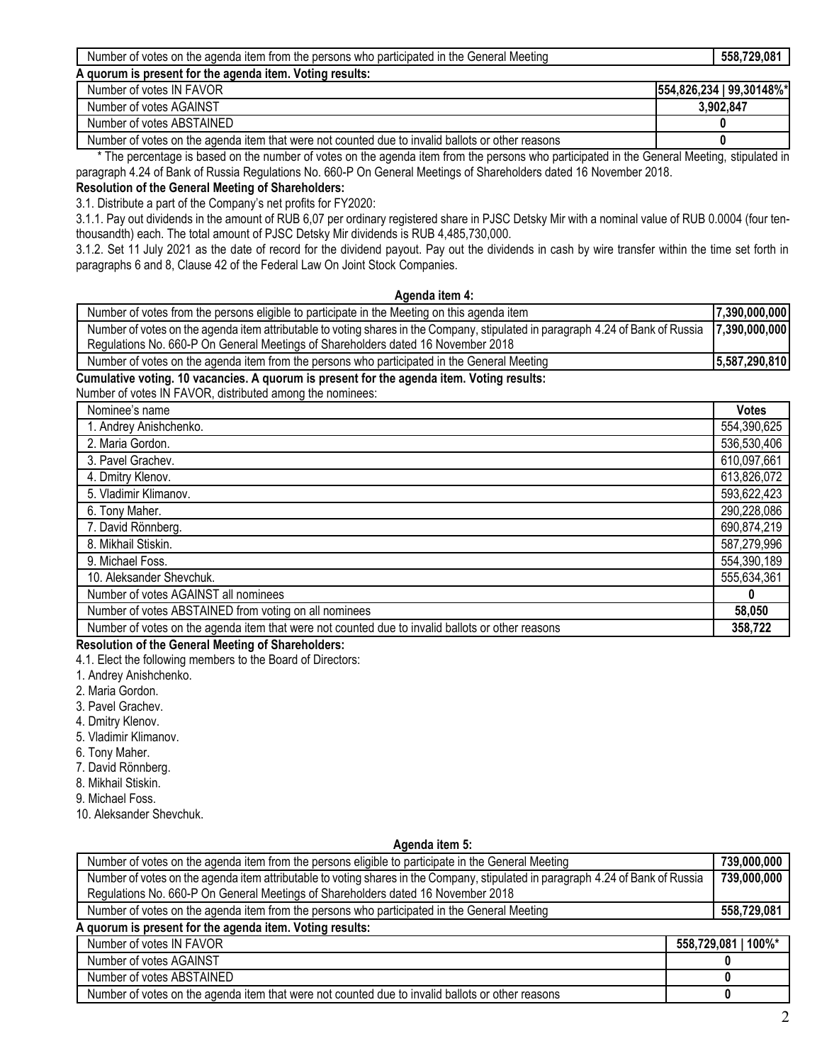| the<br>' Meeting<br>, trom<br>persons who<br>ltem<br>participated ir<br>ı the<br>General<br>the agenda<br>Number of votes on | ,729,081<br>558. |
|------------------------------------------------------------------------------------------------------------------------------|------------------|
| i item. Votina results:<br>A quorum is present for the agenda i                                                              |                  |

| Number of votes IN FAVOR                                                                         | 554,826,234   99,30148%* |
|--------------------------------------------------------------------------------------------------|--------------------------|
| Number of votes AGAINST                                                                          | 3.902.847                |
| Number of votes ABSTAINED                                                                        |                          |
| Number of votes on the agenda item that were not counted due to invalid ballots or other reasons |                          |

 \* The percentage is based on the number of votes on the agenda item from the persons who participated in the General Meeting, stipulated in paragraph 4.24 of Bank of Russia Regulations No. 660-P On General Meetings of Shareholders dated 16 November 2018.

**Resolution of the General Meeting of Shareholders:**

3.1. Distribute a part of the Company's net profits for FY2020:

3.1.1. Pay out dividends in the amount of RUB 6,07 per ordinary registered share in PJSC Detsky Mir with a nominal value of RUB 0.0004 (four tenthousandth) each. The total amount of PJSC Detsky Mir dividends is RUB 4,485,730,000.

3.1.2. Set 11 July 2021 as the date of record for the dividend payout. Pay out the dividends in cash by wire transfer within the time set forth in paragraphs 6 and 8, Clause 42 of the Federal Law On Joint Stock Companies.

| Agenda item 4:                                                                                                                                         |               |
|--------------------------------------------------------------------------------------------------------------------------------------------------------|---------------|
| Number of votes from the persons eligible to participate in the Meeting on this agenda item                                                            | 7,390,000,000 |
| Number of votes on the agenda item attributable to voting shares in the Company, stipulated in paragraph 4.24 of Bank of Russia                        | 7,390,000,000 |
| Regulations No. 660-P On General Meetings of Shareholders dated 16 November 2018                                                                       |               |
| Number of votes on the agenda item from the persons who participated in the General Meeting                                                            | 5,587,290,810 |
| Cumulative voting. 10 vacancies. A quorum is present for the agenda item. Voting results:<br>Number of votes IN FAVOR, distributed among the nominees: |               |
| Nominee's name                                                                                                                                         | <b>Votes</b>  |
| 1. Andrey Anishchenko.                                                                                                                                 | 554,390,625   |
| 2. Maria Gordon.                                                                                                                                       | 536,530,406   |
| 3. Pavel Grachev.                                                                                                                                      | 610,097,661   |
| 4. Dmitry Klenov.                                                                                                                                      | 613,826,072   |
| 5. Vladimir Klimanov.                                                                                                                                  | 593,622,423   |
| 6. Tony Maher.                                                                                                                                         | 290,228,086   |
| 7. David Rönnberg.                                                                                                                                     | 690,874,219   |
| 8. Mikhail Stiskin.                                                                                                                                    | 587,279,996   |
| 9. Michael Foss.                                                                                                                                       | 554,390,189   |
| 10. Aleksander Shevchuk.                                                                                                                               | 555,634,361   |
| Number of votes AGAINST all nominees                                                                                                                   |               |
| Number of votes ABSTAINED from voting on all nominees                                                                                                  | 58,050        |
| Number of votes on the agenda item that were not counted due to invalid ballots or other reasons                                                       | 358,722       |

## **Resolution of the General Meeting of Shareholders:**

4.1. Elect the following members to the Board of Directors:

- 1. Andrey Anishchenko.
- 2. Maria Gordon.
- 3. Pavel Grachev.
- 4. Dmitry Klenov.
- 5. Vladimir Klimanov.
- 6. Tony Maher.
- 7. David Rönnberg.
- 8. Mikhail Stiskin.
- 9. Michael Foss.
- 10. Aleksander Shevchuk.

#### **Agenda item 5:**

| Number of votes on the agenda item from the persons eligible to participate in the General Meeting                              | 739,000,000         |
|---------------------------------------------------------------------------------------------------------------------------------|---------------------|
| Number of votes on the agenda item attributable to voting shares in the Company, stipulated in paragraph 4.24 of Bank of Russia |                     |
| Regulations No. 660-P On General Meetings of Shareholders dated 16 November 2018                                                |                     |
| Number of votes on the agenda item from the persons who participated in the General Meeting                                     | 558,729,081         |
| A quorum is present for the agenda item. Voting results:                                                                        |                     |
| Number of votes IN FAVOR                                                                                                        | 558,729,081   100%* |
| Number of votes AGAINST                                                                                                         |                     |
| Number of votes ABSTAINED                                                                                                       |                     |
| Number of votes on the agenda item that were not counted due to invalid ballots or other reasons                                |                     |